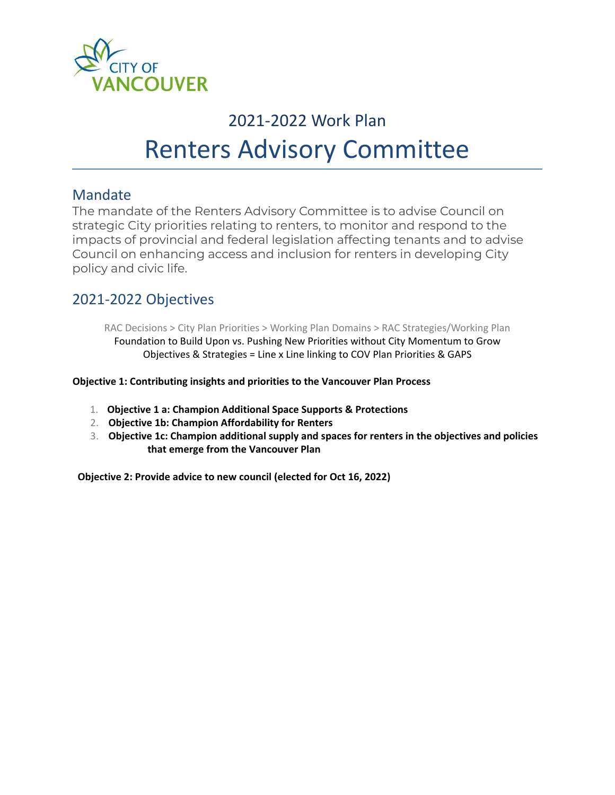

## 2021-2022 Work Plan Renters Advisory Committee

## Mandate

The mandate of the Renters Advisory Committee is to advise Council on strategic City priorities relating to renters, to monitor and respond to the impacts of provincial and federal legislation affecting tenants and to advise Council on enhancing access and inclusion for renters in developing City policy and civic life.

## 2021-2022 Objectives

RAC Decisions > City Plan Priorities > Working Plan Domains > RAC Strategies/Working Plan Foundation to Build Upon vs. Pushing New Priorities without City Momentum to Grow Objectives & Strategies = Line x Line linking to COV Plan Priorities & GAPS

**Objective 1: Contributing insights and priorities to the Vancouver Plan Process**

- 1. **Objective 1 a: Champion Additional Space Supports & Protections**
- 2. **Objective 1b: Champion Affordability for Renters**
- 3. **Objective 1c: Champion additional supply and spaces for renters in the objectives and policies that emerge from the Vancouver Plan**

**Objective 2: Provide advice to new council (elected for Oct 16, 2022)**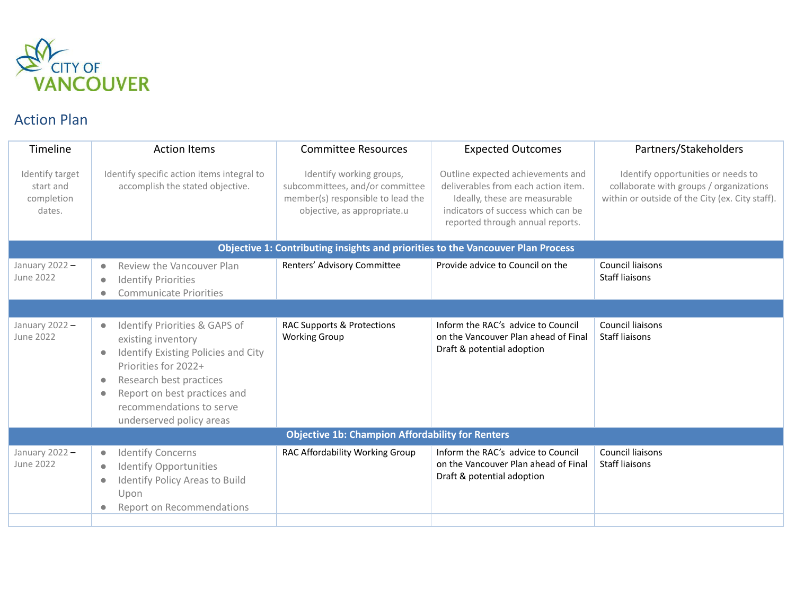

## Action Plan

| Timeline                                                                        | <b>Action Items</b>                                                                                                                                                                                                                                                                       | <b>Committee Resources</b>                                                                                                      | <b>Expected Outcomes</b>                                                                                                                                                            | Partners/Stakeholders                                                                                                            |  |  |  |
|---------------------------------------------------------------------------------|-------------------------------------------------------------------------------------------------------------------------------------------------------------------------------------------------------------------------------------------------------------------------------------------|---------------------------------------------------------------------------------------------------------------------------------|-------------------------------------------------------------------------------------------------------------------------------------------------------------------------------------|----------------------------------------------------------------------------------------------------------------------------------|--|--|--|
| Identify target<br>start and<br>completion<br>dates.                            | Identify specific action items integral to<br>accomplish the stated objective.                                                                                                                                                                                                            | Identify working groups,<br>subcommittees, and/or committee<br>member(s) responsible to lead the<br>objective, as appropriate.u | Outline expected achievements and<br>deliverables from each action item.<br>Ideally, these are measurable<br>indicators of success which can be<br>reported through annual reports. | Identify opportunities or needs to<br>collaborate with groups / organizations<br>within or outside of the City (ex. City staff). |  |  |  |
| Objective 1: Contributing insights and priorities to the Vancouver Plan Process |                                                                                                                                                                                                                                                                                           |                                                                                                                                 |                                                                                                                                                                                     |                                                                                                                                  |  |  |  |
| January 2022-<br><b>June 2022</b>                                               | Review the Vancouver Plan<br>$\bullet$<br><b>Identify Priorities</b><br>$\bullet$<br><b>Communicate Priorities</b><br>$\bullet$                                                                                                                                                           | Renters' Advisory Committee                                                                                                     | Provide advice to Council on the                                                                                                                                                    | Council liaisons<br><b>Staff liaisons</b>                                                                                        |  |  |  |
|                                                                                 |                                                                                                                                                                                                                                                                                           |                                                                                                                                 |                                                                                                                                                                                     |                                                                                                                                  |  |  |  |
| January 2022-<br><b>June 2022</b>                                               | Identify Priorities & GAPS of<br>$\bullet$<br>existing inventory<br>Identify Existing Policies and City<br>$\bullet$<br>Priorities for 2022+<br>Research best practices<br>$\bullet$<br>Report on best practices and<br>$\bullet$<br>recommendations to serve<br>underserved policy areas | RAC Supports & Protections<br><b>Working Group</b>                                                                              | Inform the RAC's advice to Council<br>on the Vancouver Plan ahead of Final<br>Draft & potential adoption                                                                            | Council liaisons<br><b>Staff liaisons</b>                                                                                        |  |  |  |
| <b>Objective 1b: Champion Affordability for Renters</b>                         |                                                                                                                                                                                                                                                                                           |                                                                                                                                 |                                                                                                                                                                                     |                                                                                                                                  |  |  |  |
| January 2022-<br>June 2022                                                      | <b>Identify Concerns</b><br>$\bullet$<br><b>Identify Opportunities</b><br>$\bullet$<br><b>Identify Policy Areas to Build</b><br>$\bullet$<br>Upon<br>Report on Recommendations                                                                                                            | RAC Affordability Working Group                                                                                                 | Inform the RAC's advice to Council<br>on the Vancouver Plan ahead of Final<br>Draft & potential adoption                                                                            | <b>Council liaisons</b><br><b>Staff liaisons</b>                                                                                 |  |  |  |
|                                                                                 |                                                                                                                                                                                                                                                                                           |                                                                                                                                 |                                                                                                                                                                                     |                                                                                                                                  |  |  |  |